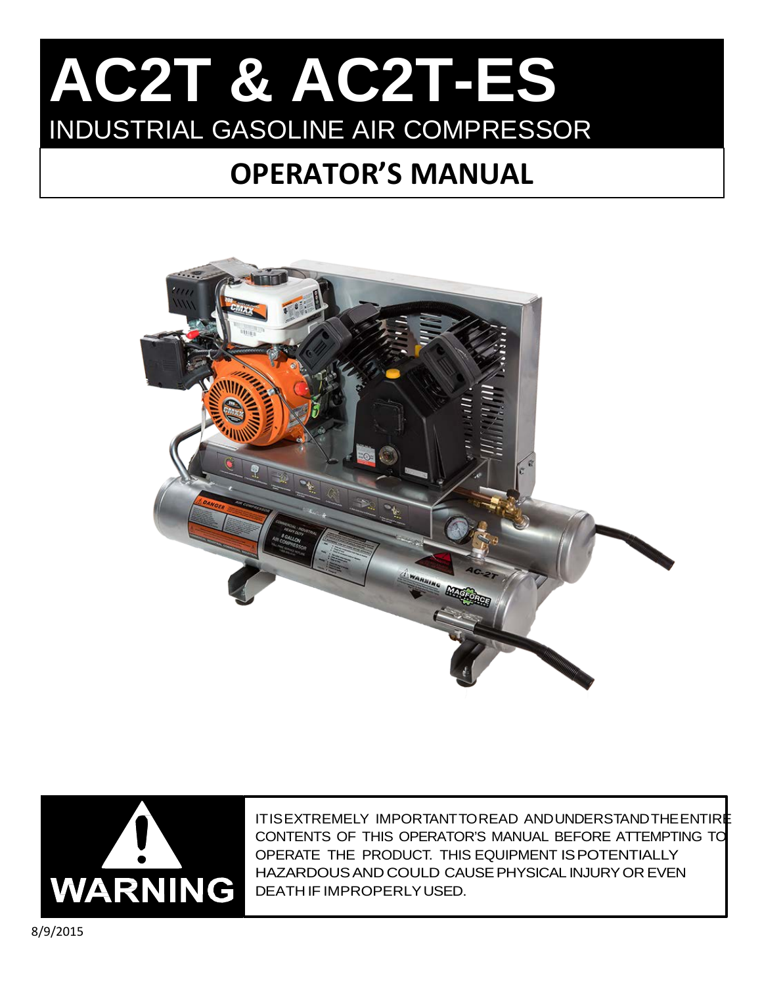# IAUZH OI AUZHED **AC2T & AC2T-ES** INDUSTRIAL GASOLINE AIR COMPRESSOR

# **OPERATOR'S MANUAL**





ITISEXTREMELY IMPORTANTTOREAD ANDUNDERSTANDTHEENTIRE CONTENTS OF THIS OPERATOR'S MANUAL BEFORE ATTEMPTING TO OPERATE THE PRODUCT. THIS EQUIPMENT ISPOTENTIALLY HAZARDOUSANDCOULD CAUSEPHYSICAL INJURYOR EVEN DEATH IF IMPROPERLYUSED.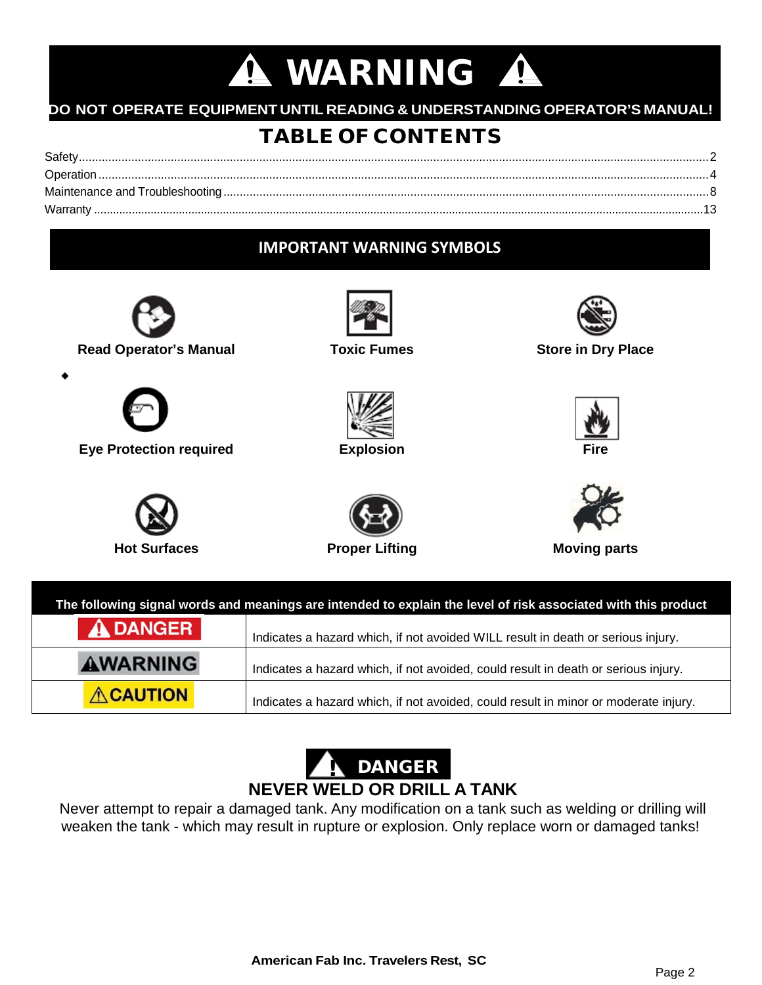# **A WARNING A**

## **DO NOT OPERATE EQUIPMENT UNTIL READING & UNDERSTANDING OPERATOR'S MANUAL!**

## TABLE OF CONTENTS

| Safety.  |  |
|----------|--|
|          |  |
|          |  |
| Warranty |  |

## **IMPORTANT WARNING SYMBOLS**



! DANGER **NEVER WELD OR DRILL A TANK**

Indicates a hazard which, if not avoided, could result in minor or moderate injury.

Never attempt to repair a damaged tank. Any modification on a tank such as welding or drilling will weaken the tank - which may result in rupture or explosion. Only replace worn or damaged tanks!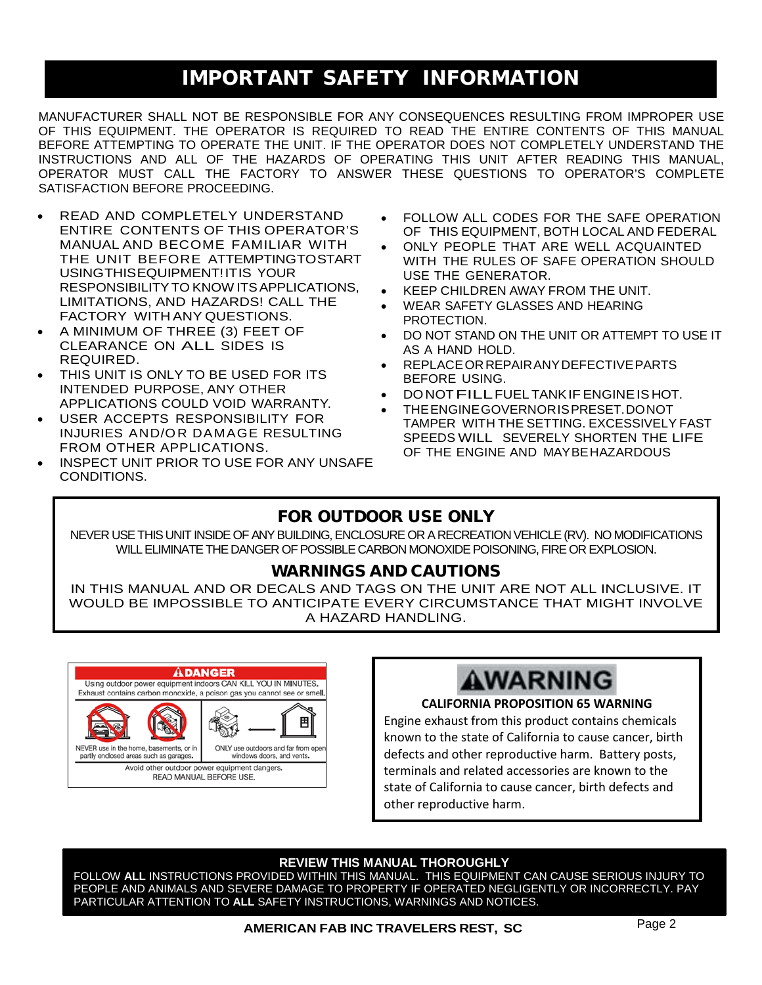## IMPORTANT SAFETY INFORMATION

MANUFACTURER SHALL NOT BE RESPONSIBLE FOR ANY CONSEQUENCES RESULTING FROM IMPROPER USE OF THIS EQUIPMENT. THE OPERATOR IS REQUIRED TO READ THE ENTIRE CONTENTS OF THIS MANUAL BEFORE ATTEMPTING TO OPERATE THE UNIT. IF THE OPERATOR DOES NOT COMPLETELY UNDERSTAND THE INSTRUCTIONS AND ALL OF THE HAZARDS OF OPERATING THIS UNIT AFTER READING THIS MANUAL, OPERATOR MUST CALL THE FACTORY TO ANSWER THESE QUESTIONS TO OPERATOR'S COMPLETE SATISFACTION BEFORE PROCEEDING.

- READ AND COMPLETELY UNDERSTAND ENTIRE CONTENTS OF THIS OPERATOR'S MANUAL AND BECOME FAMILIAR WITH THE UNIT BEFORE ATTEMPTINGTOSTART USINGTHISEQUIPMENT!ITIS YOUR RESPONSIBILITYTO KNOW ITSAPPLICATIONS, LIMITATIONS, AND HAZARDS! CALL THE FACTORY WITH ANY QUESTIONS.
- A MINIMUM OF THREE (3) FEET OF CLEARANCE ON ALL SIDES IS REQUIRED.
- THIS UNIT IS ONLY TO BE USED FOR ITS INTENDED PURPOSE, ANY OTHER APPLICATIONS COULD VOID WARRANTY.
- USER ACCEPTS RESPONSIBILITY FOR INJURIES AND/OR DAMAGE RESULTING FROM OTHER APPLICATIONS.
- INSPECT UNIT PRIOR TO USE FOR ANY UNSAFE CONDITIONS.
- FOLLOW ALL CODES FOR THE SAFE OPERATION OF THIS EQUIPMENT, BOTH LOCAL AND FEDERAL
- ONLY PEOPLE THAT ARE WELL ACQUAINTED WITH THE RULES OF SAFE OPERATION SHOULD USE THE GENERATOR.
- KEEP CHILDREN AWAY FROM THE UNIT.
- WEAR SAFETY GLASSES AND HEARING PROTECTION.
- DO NOT STAND ON THE UNIT OR ATTEMPT TO USE IT AS A HAND HOLD.
- REPLACEORREPAIRANYDEFECTIVEPARTS BEFORE USING.
- DONOTFILLFUEL TANKIFENGINEIS HOT.
- THEENGINEGOVERNORISPRESET.DONOT TAMPER WITH THE SETTING. EXCESSIVELY FAST SPEEDS WILL SEVERELY SHORTEN THE LIFE OF THE ENGINE AND MAYBEHAZARDOUS

## FOR OUTDOOR USE ONLY

NEVER USE THIS UNIT INSIDE OF ANY BUILDING, ENCLOSURE OR A RECREATION VEHICLE (RV). NO MODIFICATIONS WILL ELIMINATE THE DANGER OF POSSIBLE CARBON MONOXIDE POISONING, FIRE OR EXPLOSION.

### WARNINGS AND CAUTIONS

IN THIS MANUAL AND OR DECALS AND TAGS ON THE UNIT ARE NOT ALL INCLUSIVE. IT WOULD BE IMPOSSIBLE TO ANTICIPATE EVERY CIRCUMSTANCE THAT MIGHT INVOLVE A HAZARD HANDLING.





#### **CALIFORNIA PROPOSITION 65 WARNING**

Engine exhaust from this product contains chemicals known to the state of California to cause cancer, birth defects and other reproductive harm. Battery posts, terminals and related accessories are known to the state of California to cause cancer, birth defects and other reproductive harm.

#### **REVIEW THIS MANUAL THOROUGHLY**

FOLLOW **ALL** INSTRUCTIONS PROVIDED WITHIN THIS MANUAL. THIS EQUIPMENT CAN CAUSE SERIOUS INJURY TO PEOPLE AND ANIMALS AND SEVERE DAMAGE TO PROPERTY IF OPERATED NEGLIGENTLY OR INCORRECTLY. PAY PARTICULAR ATTENTION TO **ALL** SAFETY INSTRUCTIONS, WARNINGS AND NOTICES.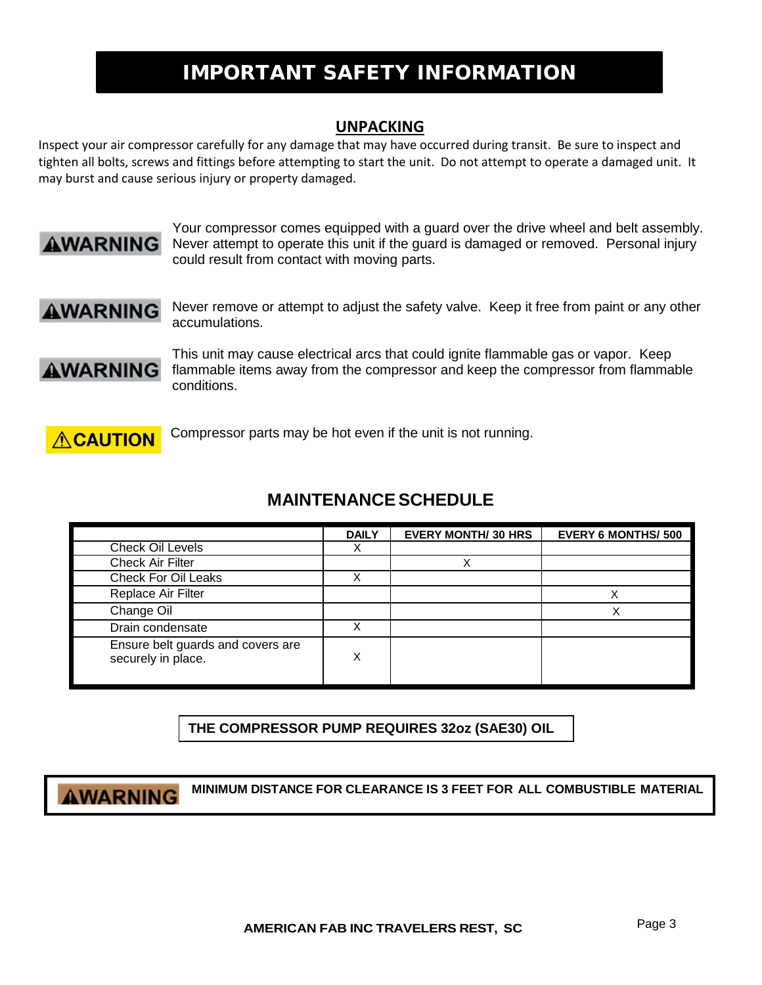## IMPORTANT SAFETY INFORMATION

#### **UNPACKING**

Inspect your air compressor carefully for any damage that may have occurred during transit. Be sure to inspect and tighten all bolts, screws and fittings before attempting to start the unit. Do not attempt to operate a damaged unit. It may burst and cause serious injury or property damaged.



Your compressor comes equipped with a guard over the drive wheel and belt assembly. Never attempt to operate this unit if the guard is damaged or removed. Personal injury could result from contact with moving parts.

**AWARNING** 

Never remove or attempt to adjust the safety valve. Keep it free from paint or any other accumulations.



This unit may cause electrical arcs that could ignite flammable gas or vapor. Keep flammable items away from the compressor and keep the compressor from flammable conditions.



Compressor parts may be hot even if the unit is not running.

## **MAINTENANCESCHEDULE**

|                                                         | <b>DAILY</b> | <b>EVERY MONTH/ 30 HRS</b> | <b>EVERY 6 MONTHS/ 500</b> |
|---------------------------------------------------------|--------------|----------------------------|----------------------------|
| Check Oil Levels                                        | х            |                            |                            |
| Check Air Filter                                        |              |                            |                            |
| <b>Check For Oil Leaks</b>                              | х            |                            |                            |
| Replace Air Filter                                      |              |                            |                            |
| Change Oil                                              |              |                            |                            |
| Drain condensate                                        | X            |                            |                            |
| Ensure belt guards and covers are<br>securely in place. | X            |                            |                            |

**THE COMPRESSOR PUMP REQUIRES 32oz (SAE30) OIL**

## **AWARNING**

**MINIMUM DISTANCE FOR CLEARANCE IS 3 FEET FOR ALL COMBUSTIBLE MATERIAL**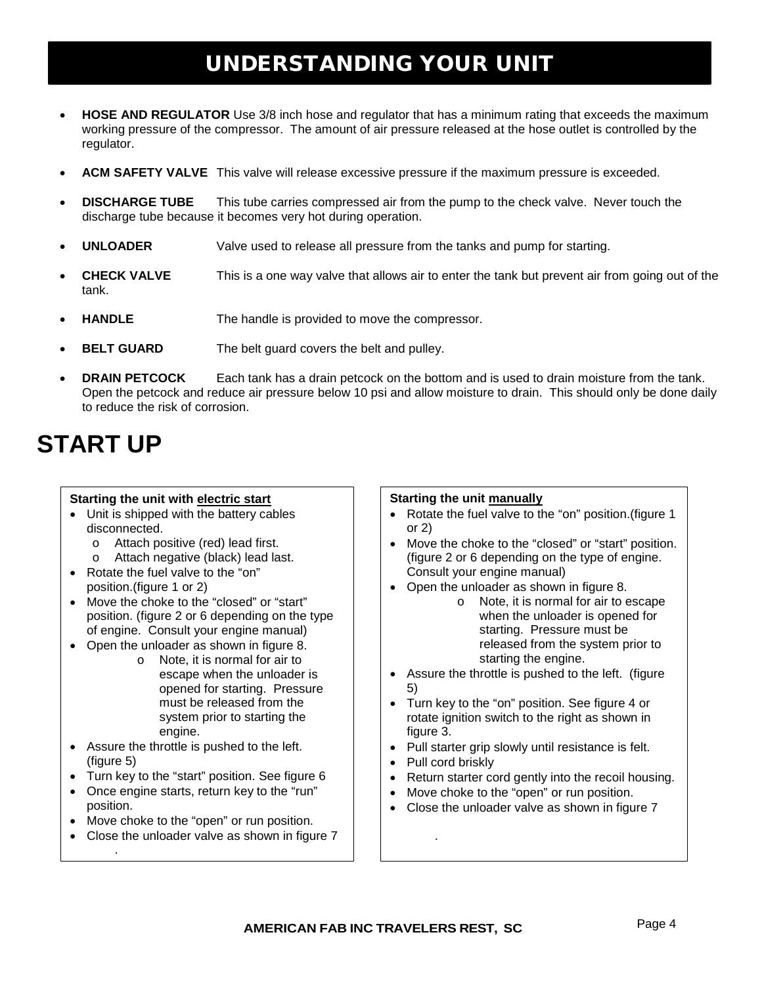## UNDERSTANDING YOUR UNIT

- **HOSE AND REGULATOR** Use 3/8 inch hose and regulator that has a minimum rating that exceeds the maximum working pressure of the compressor. The amount of air pressure released at the hose outlet is controlled by the regulator.
- **ACM SAFETY VALVE** This valve will release excessive pressure if the maximum pressure is exceeded.
- **DISCHARGE TUBE** This tube carries compressed air from the pump to the check valve. Never touch the discharge tube because it becomes very hot during operation.
- **UNLOADER** Valve used to release all pressure from the tanks and pump for starting.
- **CHECK VALVE** This is a one way valve that allows air to enter the tank but prevent air from going out of the tank.
- **HANDLE** The handle is provided to move the compressor.
- **BELT GUARD** The belt guard covers the belt and pulley.
- **DRAIN PETCOCK** Each tank has a drain petcock on the bottom and is used to drain moisture from the tank. Open the petcock and reduce air pressure below 10 psi and allow moisture to drain. This should only be done daily to reduce the risk of corrosion.

## **START UP**

#### **Starting the unit with electric start**

- Unit is shipped with the battery cables disconnected.
	- o Attach positive (red) lead first.<br>
	o Attach negative (black) lead la
	- Attach negative (black) lead last.
- Rotate the fuel valve to the "on" position.(figure 1 or 2)
- Move the choke to the "closed" or "start" position. (figure 2 or 6 depending on the type of engine. Consult your engine manual)
- Open the unloader as shown in figure 8.
	- o Note, it is normal for air to escape when the unloader is opened for starting. Pressure must be released from the system prior to starting the engine.
- Assure the throttle is pushed to the left. (figure 5)
- Turn key to the "start" position. See figure 6
- Once engine starts, return key to the "run" position.
- Move choke to the "open" or run position.

.

• Close the unloader valve as shown in figure 7

#### **Starting the unit manually**

- Rotate the fuel valve to the "on" position.(figure 1 or 2)
- Move the choke to the "closed" or "start" position. (figure 2 or 6 depending on the type of engine. Consult your engine manual)
- Open the unloader as shown in figure 8.
	- o Note, it is normal for air to escape when the unloader is opened for starting. Pressure must be released from the system prior to starting the engine.
- Assure the throttle is pushed to the left. (figure 5)
- Turn key to the "on" position. See figure 4 or rotate ignition switch to the right as shown in figure 3.
- Pull starter grip slowly until resistance is felt.
- Pull cord briskly

.

- Return starter cord gently into the recoil housing.
- Move choke to the "open" or run position.
- Close the unloader valve as shown in figure 7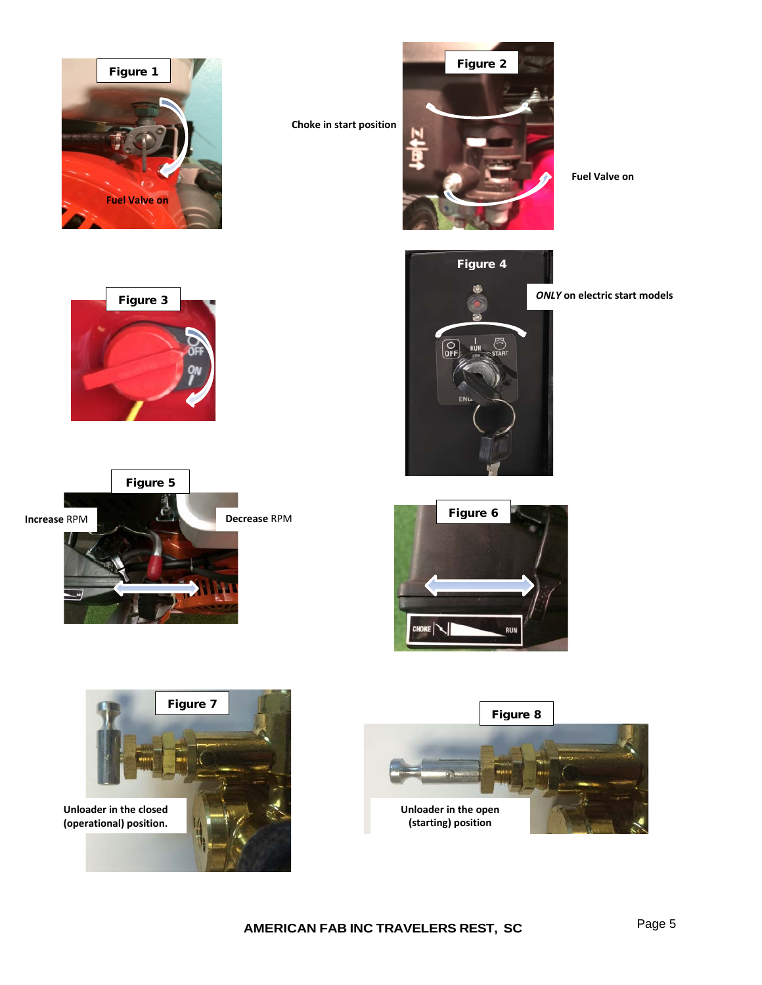

**Choke in start position**



**Fuel Valve on**







*ONLY* **on electric start models**





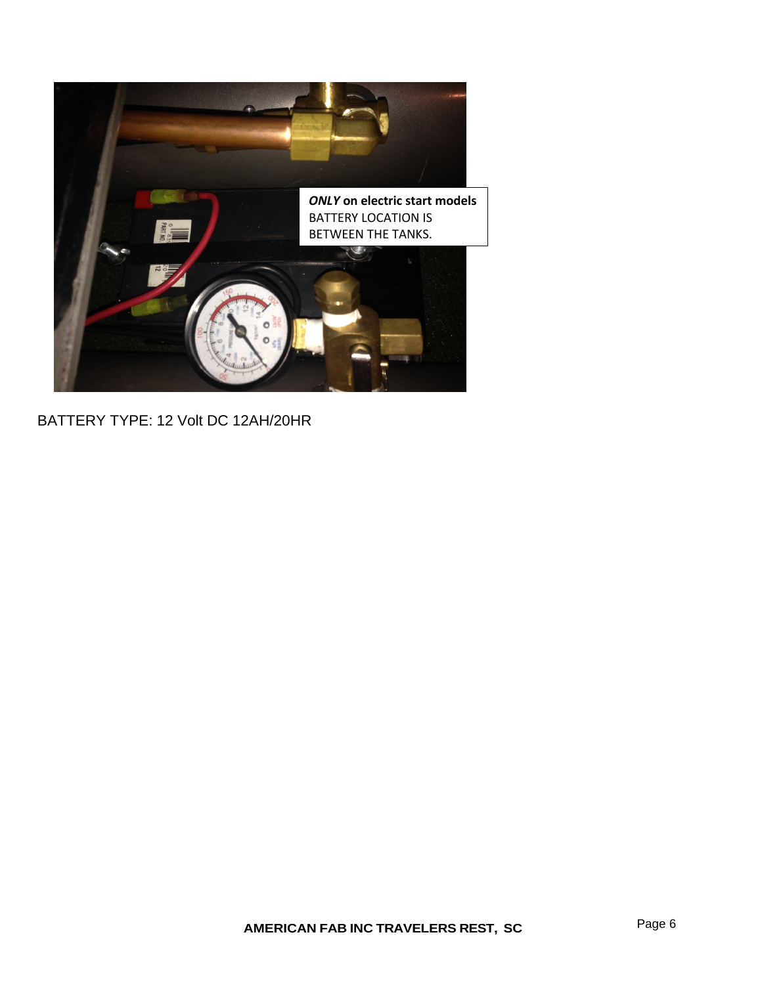

## BATTERY TYPE: 12 Volt DC 12AH/20HR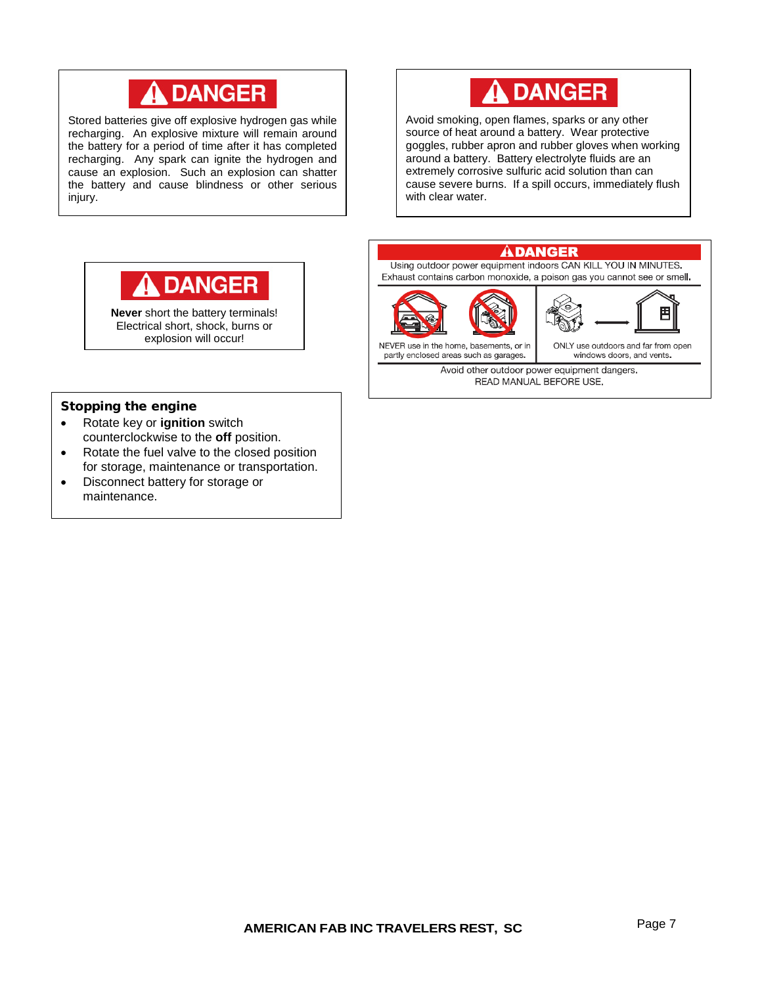## **A DANGER**

Stored batteries give off explosive hydrogen gas while recharging. An explosive mixture will remain around the battery for a period of time after it has completed recharging. Any spark can ignite the hydrogen and cause an explosion. Such an explosion can shatter the battery and cause blindness or other serious injury.



Avoid smoking, open flames, sparks or any other source of heat around a battery. Wear protective goggles, rubber apron and rubber gloves when working around a battery. Battery electrolyte fluids are an extremely corrosive sulfuric acid solution than can cause severe burns. If a spill occurs, immediately flush with clear water.



**Never** short the battery terminals! Electrical short, shock, burns or explosion will occur!

#### Stopping the engine

- Rotate key or **ignition** switch counterclockwise to the **off** position.
- Rotate the fuel valve to the closed position for storage, maintenance or transportation.
- Disconnect battery for storage or maintenance.



Avoid other outdoor power equipment dangers. READ MANUAL BEFORE USE.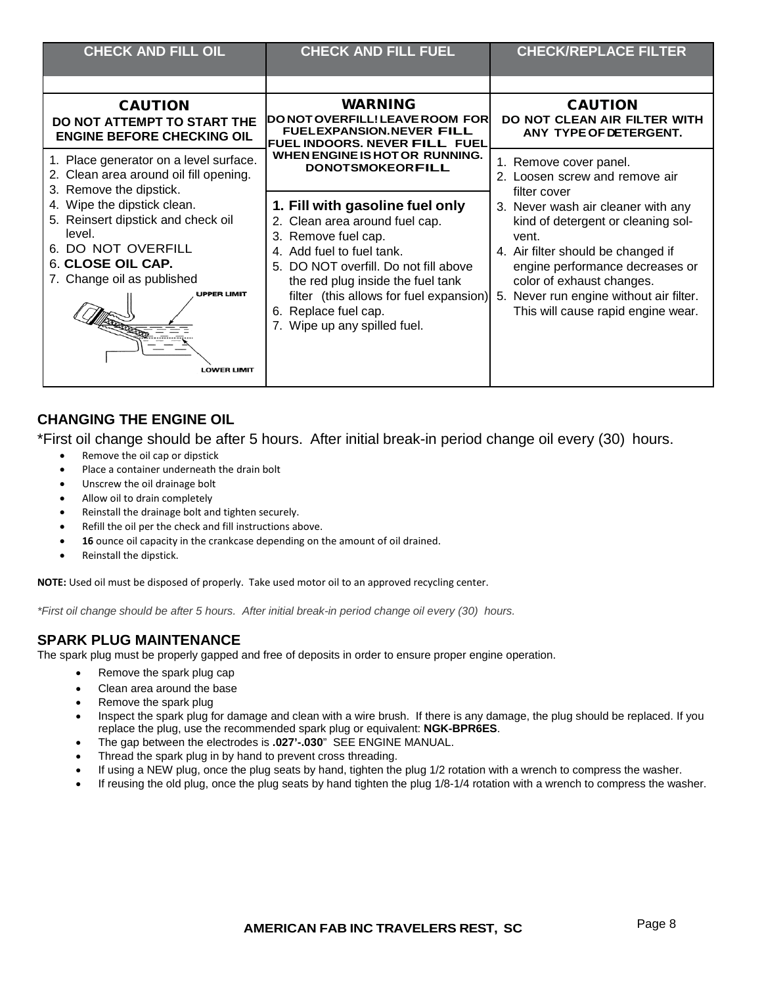| <b>CHECK AND FILL OIL</b>                                                                                                                                                                                                                                | <b>CHECK AND FILL FUEL</b>                                                                                                                                                                                                                                                                                | <b>CHECK/REPLACE FILTER</b>                                                                                                                                                                                                                                                                 |
|----------------------------------------------------------------------------------------------------------------------------------------------------------------------------------------------------------------------------------------------------------|-----------------------------------------------------------------------------------------------------------------------------------------------------------------------------------------------------------------------------------------------------------------------------------------------------------|---------------------------------------------------------------------------------------------------------------------------------------------------------------------------------------------------------------------------------------------------------------------------------------------|
| <b>CAUTION</b><br>DO NOT ATTEMPT TO START THE                                                                                                                                                                                                            | <b>WARNING</b><br>DO NOT OVERFILL! LEAVE ROOM FOR                                                                                                                                                                                                                                                         | <b>CAUTION</b><br>DO NOT CLEAN AIR FILTER WITH                                                                                                                                                                                                                                              |
| <b>ENGINE BEFORE CHECKING OIL</b><br>1. Place generator on a level surface.<br>2. Clean area around oil fill opening.                                                                                                                                    | <b>FUELEXPANSION.NEVER FILL</b><br><b>FUEL INDOORS. NEVER FILL FUEL</b><br>WHEN ENGINE IS HOT OR RUNNING.<br><b>DONOTSMOKEORFILL</b>                                                                                                                                                                      | ANY TYPE OF DETERGENT.<br>1. Remove cover panel.<br>2. Loosen screw and remove air                                                                                                                                                                                                          |
| 3. Remove the dipstick.<br>4. Wipe the dipstick clean.<br>5. Reinsert dipstick and check oil<br>level.<br>DO NOT OVERFILL<br>6.<br>6. CLOSE OIL CAP.<br>7. Change oil as published<br>UPPER LIMIT<br>. <del>.</del> <del>. .</del><br><b>LOWER LIMIT</b> | 1. Fill with gasoline fuel only<br>2. Clean area around fuel cap.<br>3. Remove fuel cap.<br>4. Add fuel to fuel tank.<br>DO NOT overfill. Do not fill above<br>5.<br>the red plug inside the fuel tank<br>filter (this allows for fuel expansion)<br>6. Replace fuel cap.<br>7. Wipe up any spilled fuel. | filter cover<br>3. Never wash air cleaner with any<br>kind of detergent or cleaning sol-<br>vent.<br>4. Air filter should be changed if<br>engine performance decreases or<br>color of exhaust changes.<br>Never run engine without air filter.<br>5.<br>This will cause rapid engine wear. |

#### **CHANGING THE ENGINE OIL**

\*First oil change should be after 5 hours. After initial break-in period change oil every (30) hours.

- Remove the oil cap or dipstick
- Place a container underneath the drain bolt
- Unscrew the oil drainage bolt
- Allow oil to drain completely
- Reinstall the drainage bolt and tighten securely.
- Refill the oil per the check and fill instructions above.
- 16 ounce oil capacity in the crankcase depending on the amount of oil drained.
- Reinstall the dipstick.

**NOTE:** Used oil must be disposed of properly. Take used motor oil to an approved recycling center.

*\*First oil change should be after 5 hours. After initial break-in period change oil every (30) hours.*

#### **SPARK PLUG MAINTENANCE**

The spark plug must be properly gapped and free of deposits in order to ensure proper engine operation.

- Remove the spark plug cap
- Clean area around the base
- Remove the spark plug
- Inspect the spark plug for damage and clean with a wire brush. If there is any damage, the plug should be replaced. If you replace the plug, use the recommended spark plug or equivalent: **NGK-BPR6ES**.
- The gap between the electrodes is **.027'-.030**" SEE ENGINE MANUAL.
- Thread the spark plug in by hand to prevent cross threading.
- If using a NEW plug, once the plug seats by hand, tighten the plug 1/2 rotation with a wrench to compress the washer.
- If reusing the old plug, once the plug seats by hand tighten the plug 1/8-1/4 rotation with a wrench to compress the washer.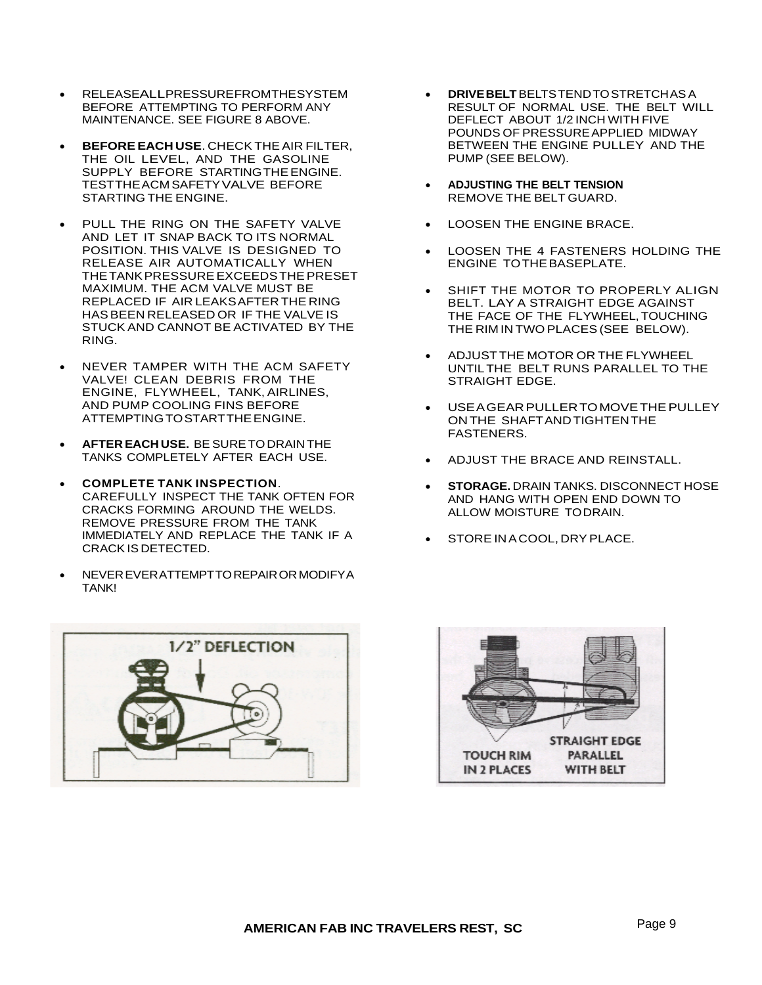- RELEASEALLPRESSUREFROMTHESYSTEM BEFORE ATTEMPTING TO PERFORM ANY MAINTENANCE. SEE FIGURE 8 ABOVE.
- **BEFOREEACH USE**. CHECK THEAIR FILTER, THE OIL LEVEL, AND THE GASOLINE SUPPLY BEFORE STARTINGTHEENGINE. TESTTHEACM SAFETYVALVE BEFORE STARTING THE ENGINE.
- PULL THE RING ON THE SAFETY VALVE AND LET IT SNAP BACK TO ITS NORMAL POSITION. THIS VALVE IS DESIGNED TO RELEASE AIR AUTOMATICALLY WHEN THETANKPRESSUREEXCEEDSTHEPRESET MAXIMUM. THE ACM VALVE MUST BE REPLACED IF AIR LEAKSAFTER THE RING HASBEEN RELEASED OR IF THE VALVE IS STUCK AND CANNOT BE ACTIVATED BY THE RING.
- NEVER TAMPER WITH THE ACM SAFETY VALVE! CLEAN DEBRIS FROM THE ENGINE, FLYWHEEL, TANK, AIRLINES, AND PUMP COOLING FINS BEFORE ATTEMPTING TO START THE ENGINE.
- **AFTER EACH USE.** BE SURETODRAIN THE TANKS COMPLETELY AFTER EACH USE.
- **COMPLETE TANK INSPECTION**. CAREFULLY INSPECT THE TANK OFTEN FOR CRACKS FORMING AROUND THE WELDS. REMOVE PRESSURE FROM THE TANK IMMEDIATELY AND REPLACE THE TANK IF A CRACKIS DETECTED.
- NEVEREVERATTEMPTTOREPAIRORMODIFYA TANK!



- **DRIVEBELT**BELTSTENDTOSTRETCHASA RESULT OF NORMAL USE. THE BELT WILL DEFLECT ABOUT 1/2 INCH WITH FIVE POUNDS OF PRESSUREAPPLIED MIDWAY BETWEEN THE ENGINE PULLEY AND THE PUMP (SEE BELOW).
- **ADJUSTING THE BELT TENSION** REMOVE THE BELT GUARD.
- LOOSEN THE ENGINE BRACE.
- LOOSEN THE 4 FASTENERS HOLDING THE ENGINE TOTHEBASEPLATE.
- SHIFT THE MOTOR TO PROPERLY ALIGN BELT. LAY A STRAIGHT EDGE AGAINST THE FACE OF THE FLYWHEEL,TOUCHING THE RIM IN TWO PLACES (SEE BELOW).
- ADJUST THE MOTOR OR THE FLYWHEEL UNTILTHE BELT RUNS PARALLEL TO THE STRAIGHT EDGE.
- USE A GEAR PULLER TO MOVE THE PULLEY ONTHE SHAFTAND TIGHTENTHE FASTENERS.
- ADJUST THE BRACE AND REINSTALL.
- **STORAGE.** DRAIN TANKS. DISCONNECT HOSE AND HANG WITH OPEN END DOWN TO ALLOW MOISTURE TODRAIN.
- STORE IN A COOL, DRY PLACE.

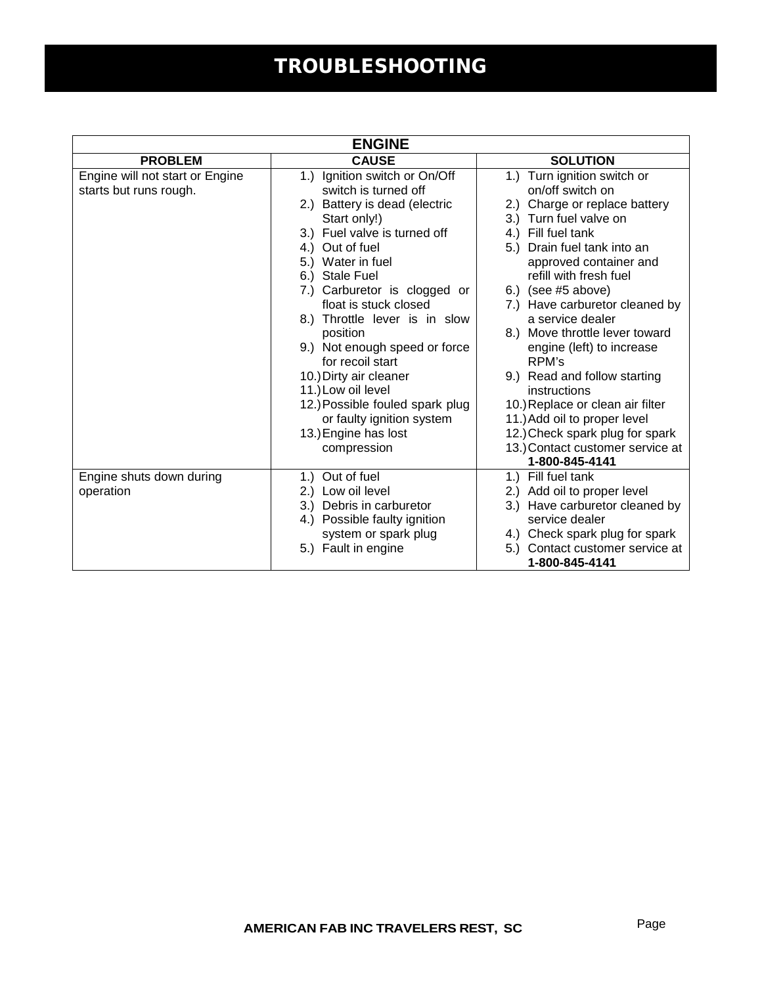## TROUBLESHOOTING

| <b>ENGINE</b>                                             |                                                                                                                                                                                                                                                                                                                                                                                                                                                                                                                       |                                                                                                                                                                                                                                                                                                                                                                                                                                                                                                                                                                                           |  |  |
|-----------------------------------------------------------|-----------------------------------------------------------------------------------------------------------------------------------------------------------------------------------------------------------------------------------------------------------------------------------------------------------------------------------------------------------------------------------------------------------------------------------------------------------------------------------------------------------------------|-------------------------------------------------------------------------------------------------------------------------------------------------------------------------------------------------------------------------------------------------------------------------------------------------------------------------------------------------------------------------------------------------------------------------------------------------------------------------------------------------------------------------------------------------------------------------------------------|--|--|
| <b>PROBLEM</b>                                            | <b>CAUSE</b>                                                                                                                                                                                                                                                                                                                                                                                                                                                                                                          | <b>SOLUTION</b>                                                                                                                                                                                                                                                                                                                                                                                                                                                                                                                                                                           |  |  |
| Engine will not start or Engine<br>starts but runs rough. | Ignition switch or On/Off<br>1.)<br>switch is turned off<br>2.) Battery is dead (electric<br>Start only!)<br>3.) Fuel valve is turned off<br>4.) Out of fuel<br>5.) Water in fuel<br>6.) Stale Fuel<br>7.) Carburetor is clogged or<br>float is stuck closed<br>8.) Throttle lever is in slow<br>position<br>9.) Not enough speed or force<br>for recoil start<br>10.) Dirty air cleaner<br>11.) Low oil level<br>12.) Possible fouled spark plug<br>or faulty ignition system<br>13.) Engine has lost<br>compression | 1.) Turn ignition switch or<br>on/off switch on<br>2.) Charge or replace battery<br>3.) Turn fuel valve on<br>4.) Fill fuel tank<br>Drain fuel tank into an<br>5.)<br>approved container and<br>refill with fresh fuel<br>6.) (see $#5$ above)<br>7.) Have carburetor cleaned by<br>a service dealer<br>8.) Move throttle lever toward<br>engine (left) to increase<br>RPM's<br>9.) Read and follow starting<br>instructions<br>10.) Replace or clean air filter<br>11.) Add oil to proper level<br>12.) Check spark plug for spark<br>13.) Contact customer service at<br>1-800-845-4141 |  |  |
| Engine shuts down during<br>operation                     | Out of fuel<br>1.)<br>2.) Low oil level<br>3.) Debris in carburetor<br>4.) Possible faulty ignition<br>system or spark plug<br>5.) Fault in engine                                                                                                                                                                                                                                                                                                                                                                    | 1.) Fill fuel tank<br>2.) Add oil to proper level<br>3.) Have carburetor cleaned by<br>service dealer<br>4.) Check spark plug for spark<br>Contact customer service at<br>5.)<br>1-800-845-4141                                                                                                                                                                                                                                                                                                                                                                                           |  |  |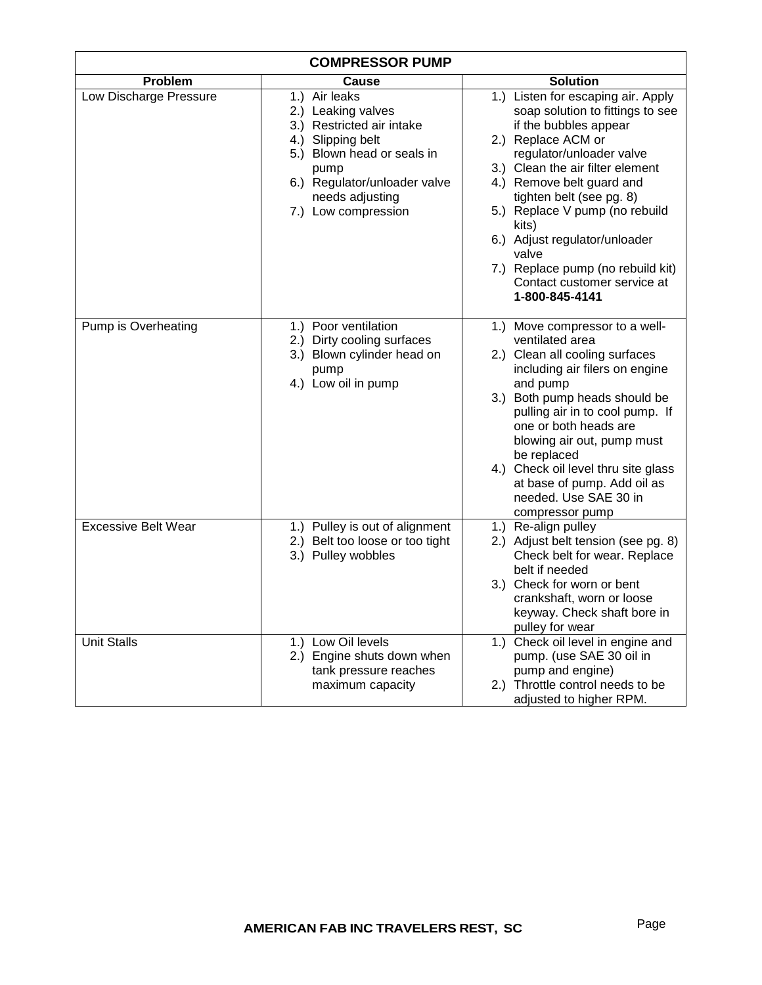| <b>COMPRESSOR PUMP</b>     |                                                                                                                                                                                                       |                                                                                                                                                                                                                                                                                                                                                                                                                           |  |  |
|----------------------------|-------------------------------------------------------------------------------------------------------------------------------------------------------------------------------------------------------|---------------------------------------------------------------------------------------------------------------------------------------------------------------------------------------------------------------------------------------------------------------------------------------------------------------------------------------------------------------------------------------------------------------------------|--|--|
| Problem                    | Cause                                                                                                                                                                                                 | <b>Solution</b>                                                                                                                                                                                                                                                                                                                                                                                                           |  |  |
| Low Discharge Pressure     | 1.) Air leaks<br>2.) Leaking valves<br>3.) Restricted air intake<br>4.) Slipping belt<br>5.) Blown head or seals in<br>pump<br>6.) Regulator/unloader valve<br>needs adjusting<br>7.) Low compression | 1.) Listen for escaping air. Apply<br>soap solution to fittings to see<br>if the bubbles appear<br>2.) Replace ACM or<br>regulator/unloader valve<br>3.) Clean the air filter element<br>4.) Remove belt guard and<br>tighten belt (see pg. 8)<br>5.) Replace V pump (no rebuild<br>kits)<br>6.) Adjust regulator/unloader<br>valve<br>7.) Replace pump (no rebuild kit)<br>Contact customer service at<br>1-800-845-4141 |  |  |
| Pump is Overheating        | 1.) Poor ventilation<br>2.) Dirty cooling surfaces<br>3.) Blown cylinder head on<br>pump<br>4.) Low oil in pump                                                                                       | 1.) Move compressor to a well-<br>ventilated area<br>2.) Clean all cooling surfaces<br>including air filers on engine<br>and pump<br>3.) Both pump heads should be<br>pulling air in to cool pump. If<br>one or both heads are<br>blowing air out, pump must<br>be replaced<br>4.) Check oil level thru site glass<br>at base of pump. Add oil as<br>needed. Use SAE 30 in<br>compressor pump                             |  |  |
| <b>Excessive Belt Wear</b> | 1.) Pulley is out of alignment<br>2.) Belt too loose or too tight<br>3.) Pulley wobbles                                                                                                               | 1.) Re-align pulley<br>2.) Adjust belt tension (see pg. 8)<br>Check belt for wear. Replace<br>belt if needed<br>3.) Check for worn or bent<br>crankshaft, worn or loose<br>keyway. Check shaft bore in<br>pulley for wear                                                                                                                                                                                                 |  |  |
| <b>Unit Stalls</b>         | 1.) Low Oil levels<br>2.) Engine shuts down when<br>tank pressure reaches<br>maximum capacity                                                                                                         | 1.) Check oil level in engine and<br>pump. (use SAE 30 oil in<br>pump and engine)<br>2.) Throttle control needs to be<br>adjusted to higher RPM.                                                                                                                                                                                                                                                                          |  |  |